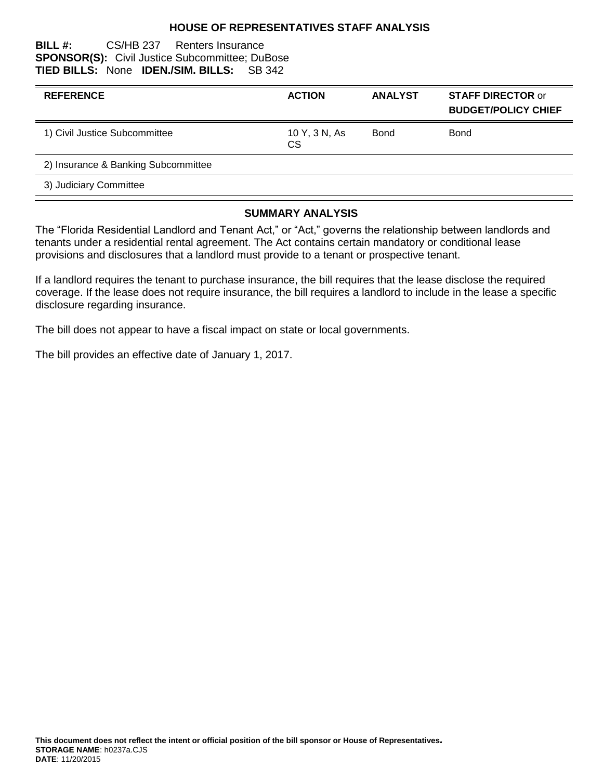## **HOUSE OF REPRESENTATIVES STAFF ANALYSIS**

#### **BILL #:** CS/HB 237 Renters Insurance **SPONSOR(S):** Civil Justice Subcommittee; DuBose **TIED BILLS:** None **IDEN./SIM. BILLS:** SB 342

| <b>REFERENCE</b>                    | <b>ACTION</b>       | <b>ANALYST</b> | <b>STAFF DIRECTOR or</b><br><b>BUDGET/POLICY CHIEF</b> |
|-------------------------------------|---------------------|----------------|--------------------------------------------------------|
| 1) Civil Justice Subcommittee       | 10 Y, 3 N, As<br>CS | Bond           | <b>Bond</b>                                            |
| 2) Insurance & Banking Subcommittee |                     |                |                                                        |
| 3) Judiciary Committee              |                     |                |                                                        |

#### **SUMMARY ANALYSIS**

The "Florida Residential Landlord and Tenant Act," or "Act," governs the relationship between landlords and tenants under a residential rental agreement. The Act contains certain mandatory or conditional lease provisions and disclosures that a landlord must provide to a tenant or prospective tenant.

If a landlord requires the tenant to purchase insurance, the bill requires that the lease disclose the required coverage. If the lease does not require insurance, the bill requires a landlord to include in the lease a specific disclosure regarding insurance.

The bill does not appear to have a fiscal impact on state or local governments.

The bill provides an effective date of January 1, 2017.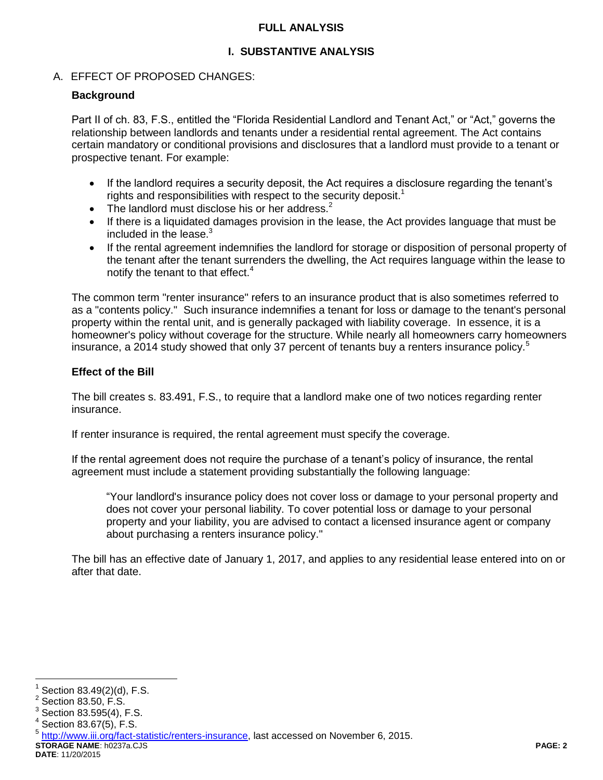## **FULL ANALYSIS**

# **I. SUBSTANTIVE ANALYSIS**

## A. EFFECT OF PROPOSED CHANGES:

## **Background**

Part II of ch. 83, F.S., entitled the "Florida Residential Landlord and Tenant Act," or "Act," governs the relationship between landlords and tenants under a residential rental agreement. The Act contains certain mandatory or conditional provisions and disclosures that a landlord must provide to a tenant or prospective tenant. For example:

- If the landlord requires a security deposit, the Act requires a disclosure regarding the tenant's rights and responsibilities with respect to the security deposit.<sup>1</sup>
- The landlord must disclose his or her address. $2^2$
- If there is a liquidated damages provision in the lease, the Act provides language that must be included in the lease.<sup>3</sup>
- If the rental agreement indemnifies the landlord for storage or disposition of personal property of the tenant after the tenant surrenders the dwelling, the Act requires language within the lease to notify the tenant to that effect.<sup>4</sup>

The common term "renter insurance" refers to an insurance product that is also sometimes referred to as a "contents policy." Such insurance indemnifies a tenant for loss or damage to the tenant's personal property within the rental unit, and is generally packaged with liability coverage. In essence, it is a homeowner's policy without coverage for the structure. While nearly all homeowners carry homeowners insurance, a 2014 study showed that only 37 percent of tenants buy a renters insurance policy.<sup>5</sup>

### **Effect of the Bill**

The bill creates s. 83.491, F.S., to require that a landlord make one of two notices regarding renter insurance.

If renter insurance is required, the rental agreement must specify the coverage.

If the rental agreement does not require the purchase of a tenant's policy of insurance, the rental agreement must include a statement providing substantially the following language:

"Your landlord's insurance policy does not cover loss or damage to your personal property and does not cover your personal liability. To cover potential loss or damage to your personal property and your liability, you are advised to contact a licensed insurance agent or company about purchasing a renters insurance policy."

The bill has an effective date of January 1, 2017, and applies to any residential lease entered into on or after that date.

 $\overline{a}$ 

**DATE**: 11/20/2015

<sup>1</sup> Section 83.49(2)(d), F.S.

 $2$  Section 83.50, F.S. 3

Section 83.595(4), F.S.

 $4$  Section 83.67(5), F.S.

**STORAGE NAME**: h0237a.CJS **PAGE: 2** <sup>5</sup> [http://www.iii.org/fact-statistic/renters-insurance,](http://www.iii.org/fact-statistic/renters-insurance) last accessed on November 6, 2015.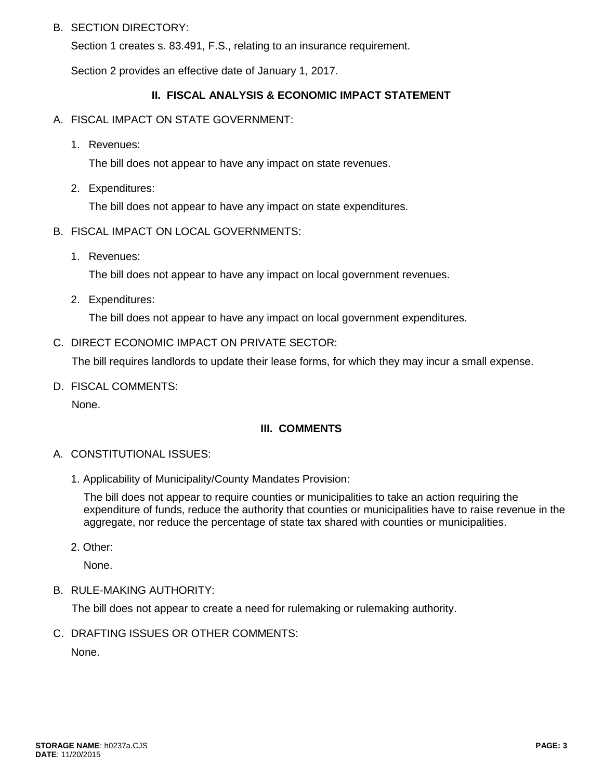## B. SECTION DIRECTORY:

Section 1 creates s. 83.491, F.S., relating to an insurance requirement.

Section 2 provides an effective date of January 1, 2017.

## **II. FISCAL ANALYSIS & ECONOMIC IMPACT STATEMENT**

- A. FISCAL IMPACT ON STATE GOVERNMENT:
	- 1. Revenues:

The bill does not appear to have any impact on state revenues.

2. Expenditures:

The bill does not appear to have any impact on state expenditures.

- B. FISCAL IMPACT ON LOCAL GOVERNMENTS:
	- 1. Revenues:

The bill does not appear to have any impact on local government revenues.

2. Expenditures:

The bill does not appear to have any impact on local government expenditures.

### C. DIRECT ECONOMIC IMPACT ON PRIVATE SECTOR:

The bill requires landlords to update their lease forms, for which they may incur a small expense.

D. FISCAL COMMENTS:

None.

## **III. COMMENTS**

- A. CONSTITUTIONAL ISSUES:
	- 1. Applicability of Municipality/County Mandates Provision:

The bill does not appear to require counties or municipalities to take an action requiring the expenditure of funds, reduce the authority that counties or municipalities have to raise revenue in the aggregate, nor reduce the percentage of state tax shared with counties or municipalities.

2. Other:

None.

B. RULE-MAKING AUTHORITY:

The bill does not appear to create a need for rulemaking or rulemaking authority.

C. DRAFTING ISSUES OR OTHER COMMENTS:

None.